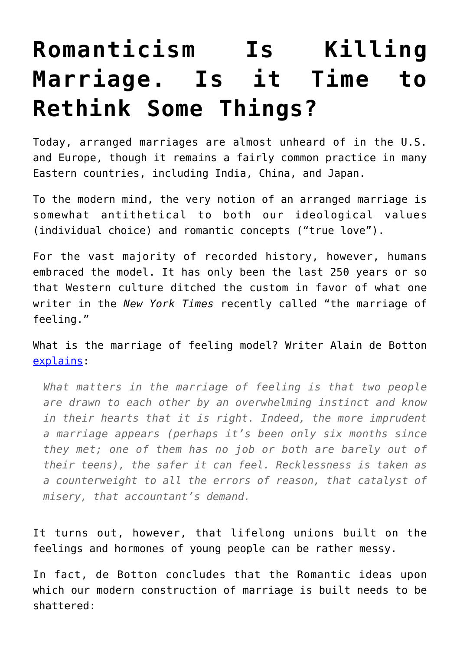## **[Romanticism Is Killing](https://intellectualtakeout.org/2018/03/romanticism-is-killing-marriage-is-it-time-to-rethink-some-things/) [Marriage. Is it Time to](https://intellectualtakeout.org/2018/03/romanticism-is-killing-marriage-is-it-time-to-rethink-some-things/) [Rethink Some Things?](https://intellectualtakeout.org/2018/03/romanticism-is-killing-marriage-is-it-time-to-rethink-some-things/)**

Today, arranged marriages are almost unheard of in the U.S. and Europe, though it remains a fairly common practice in many Eastern countries, including India, China, and Japan.

To the modern mind, the very notion of an arranged marriage is somewhat antithetical to both our ideological values (individual choice) and romantic concepts ("true love").

For the vast majority of recorded history, however, humans embraced the model. It has only been the last 250 years or so that Western culture ditched the custom in favor of what one writer in the *New York Times* recently called "the marriage of feeling."

What is the marriage of feeling model? Writer Alain de Botton [explains:](http://www.nytimes.com/2016/05/29/opinion/sunday/why-you-will-marry-the-wrong-person.html?_r=0)

*What matters in the marriage of feeling is that two people are drawn to each other by an overwhelming instinct and know in their hearts that it is right. Indeed, the more imprudent a marriage appears (perhaps it's been only six months since they met; one of them has no job or both are barely out of their teens), the safer it can feel. Recklessness is taken as a counterweight to all the errors of reason, that catalyst of misery, that accountant's demand.*

It turns out, however, that lifelong unions built on the feelings and hormones of young people can be rather messy.

In fact, de Botton concludes that the Romantic ideas upon which our modern construction of marriage is built needs to be shattered: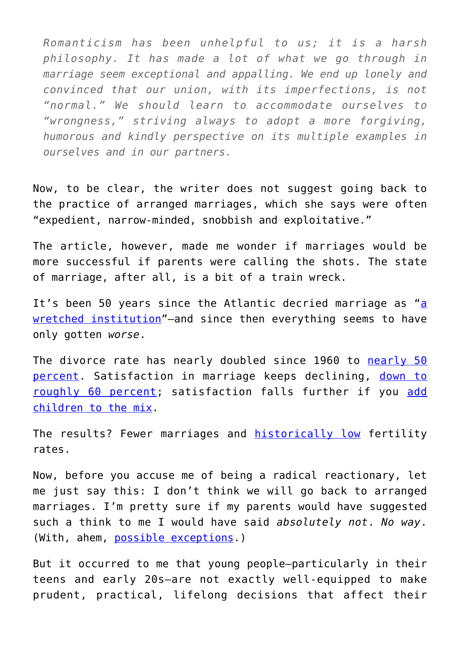*Romanticism has been unhelpful to us; it is a harsh philosophy. It has made a lot of what we go through in marriage seem exceptional and appalling. We end up lonely and convinced that our union, with its imperfections, is not "normal." We should learn to accommodate ourselves to "wrongness," striving always to adopt a more forgiving, humorous and kindly perspective on its multiple examples in ourselves and in our partners.*

Now, to be clear, the writer does not suggest going back to the practice of arranged marriages, which she says were often "expedient, narrow-minded, snobbish and exploitative."

The article, however, made me wonder if marriages would be more successful if parents were calling the shots. The state of marriage, after all, is a bit of a train wreck.

It's been 50 ye[a](http://www.theatlantic.com/magazine/archive/1966/11/marriage-as-a-wretched-institution/306668/)rs since the Atlantic decried marriage as "a [wretched institution](http://www.theatlantic.com/magazine/archive/1966/11/marriage-as-a-wretched-institution/306668/)"—and since then everything seems to have only gotten *worse*.

The divorce rate has nearly doubled since 1960 to [nearly 50](http://www.stateofourunions.org/2012/SOOU2012.pdf) [percent.](http://www.stateofourunions.org/2012/SOOU2012.pdf) Satisfaction in marriage keeps declining, [down to](http://www.foryourmarriage.org/factsfigures/) [roughly 60 percent;](http://www.foryourmarriage.org/factsfigures/) satisfaction falls further if you [add](https://www.intellectualtakeout.org/blog/psychologist-having-children-makes-us-unhappy-kills-romance) [children to the mix.](https://www.intellectualtakeout.org/blog/psychologist-having-children-makes-us-unhappy-kills-romance)

The results? Fewer marriages and **[historically low](http://www.washingtonexaminer.com/baby-bust-2015-had-lowest-u.s.-fertility-rate-ever-down-600000-births/article/2593554)** fertility rates.

Now, before you accuse me of being a radical reactionary, let me just say this: I don't think we will go back to arranged marriages. I'm pretty sure if my parents would have suggested such a think to me I would have said *absolutely not*. *No way*. (With, ahem, [possible exceptions.](http://www.gettyimages.com/photos/kate-beckinsale))

But it occurred to me that young people—particularly in their teens and early 20s—are not exactly well-equipped to make prudent, practical, lifelong decisions that affect their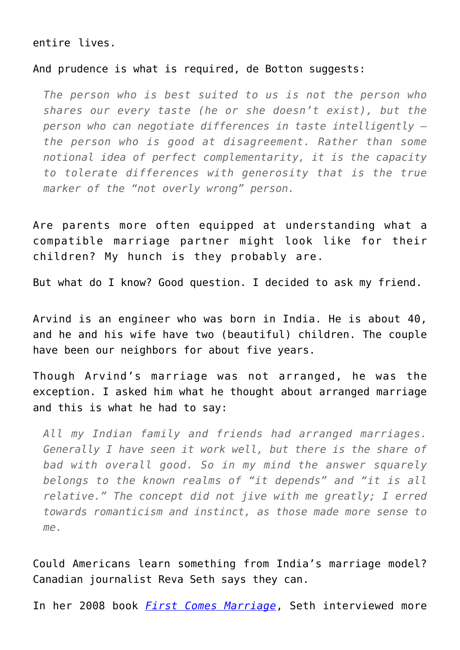## entire lives.

## And prudence is what is required, de Botton suggests:

*The person who is best suited to us is not the person who shares our every taste (he or she doesn't exist), but the person who can negotiate differences in taste intelligently the person who is good at disagreement. Rather than some notional idea of perfect complementarity, it is the capacity to tolerate differences with generosity that is the true marker of the "not overly wrong" person.*

Are parents more often equipped at understanding what a compatible marriage partner might look like for their children? My hunch is they probably are.

But what do I know? Good question. I decided to ask my friend.

Arvind is an engineer who was born in India. He is about 40, and he and his wife have two (beautiful) children. The couple have been our neighbors for about five years.

Though Arvind's marriage was not arranged, he was the exception. I asked him what he thought about arranged marriage and this is what he had to say:

*All my Indian family and friends had arranged marriages. Generally I have seen it work well, but there is the share of bad with overall good. So in my mind the answer squarely belongs to the known realms of "it depends" and "it is all relative." The concept did not jive with me greatly; I erred towards romanticism and instinct, as those made more sense to me.*

Could Americans learn something from India's marriage model? Canadian journalist Reva Seth says they can.

In her 2008 book *[First Comes Marriage](http://amzn.to/1UHr3Mh)*, Seth interviewed more